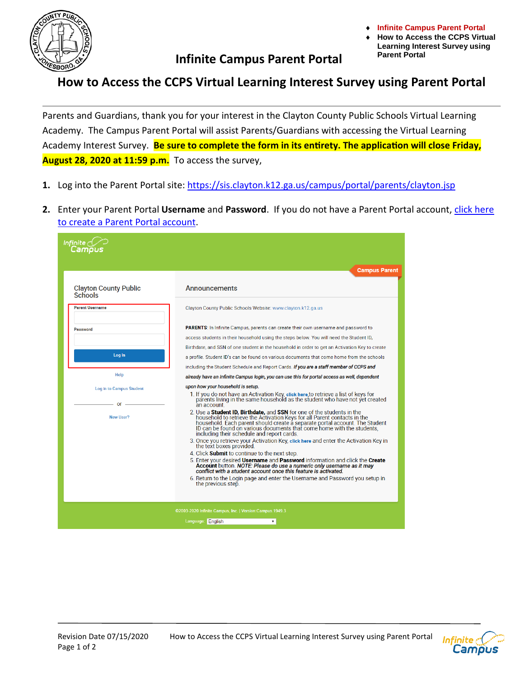

## **Infinite Campus Parent Portal**

**Infinite Campus Parent Portal** 

**How to Access the CCPS Virtual Learning Interest Survey using Parent Portal**

## **How to Access the CCPS Virtual Learning Interest Survey using Parent Portal**

Parents and Guardians, thank you for your interest in the Clayton County Public Schools Virtual Learning Academy. The Campus Parent Portal will assist Parents/Guardians with accessing the Virtual Learning Academy Interest Survey. **Be sure to complete the form in its entirety. The application will close Friday, August 28, 2020 at 11:59 p.m.** To access the survey,

- **1.** Log into the Parent Portal site:<https://sis.clayton.k12.ga.us/campus/portal/parents/clayton.jsp>
- **2.** Enter your Parent Portal **Username** and **Password**. If you do not have a Parent Portal account, [click here](https://sis.clayton.k12.ga.us/campus/portal/parents/clayton.jsp)  [to create a Parent Portal account.](https://sis.clayton.k12.ga.us/campus/portal/parents/clayton.jsp)

|                                                          | <b>Campus Parent</b>                                                                                                                                                                                                                                                                                                                                                                                                                                                                                                                                                                                                                                                                                                                                                                                                                                                                                                                                                                                                                                                                           |
|----------------------------------------------------------|------------------------------------------------------------------------------------------------------------------------------------------------------------------------------------------------------------------------------------------------------------------------------------------------------------------------------------------------------------------------------------------------------------------------------------------------------------------------------------------------------------------------------------------------------------------------------------------------------------------------------------------------------------------------------------------------------------------------------------------------------------------------------------------------------------------------------------------------------------------------------------------------------------------------------------------------------------------------------------------------------------------------------------------------------------------------------------------------|
| <b>Clayton County Public</b><br><b>Schools</b>           | <b>Announcements</b>                                                                                                                                                                                                                                                                                                                                                                                                                                                                                                                                                                                                                                                                                                                                                                                                                                                                                                                                                                                                                                                                           |
| <b>Parent Username</b>                                   | Clayton County Public Schools Website: www.clayton.k12.ga.us                                                                                                                                                                                                                                                                                                                                                                                                                                                                                                                                                                                                                                                                                                                                                                                                                                                                                                                                                                                                                                   |
| <b>Password</b>                                          | <b>PARENTS:</b> In Infinite Campus, parents can create their own username and password to<br>access students in their household using the steps below. You will need the Student ID,<br>Birthdate, and SSN of one student in the household in order to get an Activation Key to create                                                                                                                                                                                                                                                                                                                                                                                                                                                                                                                                                                                                                                                                                                                                                                                                         |
| Log In                                                   | a profile. Student ID's can be found on various documents that come home from the schools                                                                                                                                                                                                                                                                                                                                                                                                                                                                                                                                                                                                                                                                                                                                                                                                                                                                                                                                                                                                      |
| Help                                                     | including the Student Schedule and Report Cards. If you are a staff member of CCPS and<br>already have an Infinite Campus login, you can use this for portal access as well, dependent                                                                                                                                                                                                                                                                                                                                                                                                                                                                                                                                                                                                                                                                                                                                                                                                                                                                                                         |
| Log in to Campus Student<br>or<br>New User?              | upon how your household is setup.<br>1. If you do not have an Activation Key, click here, to retrieve a list of keys for<br>parents living in the same household as the student who have not yet created<br>an account<br>2. Use a Student ID, Birthdate, and SSN for one of the students in the<br>household to retrieve the Activation Keys for all Parent contacts in the<br>household. Each parent should create a separate portal account. The Student ID can be found on various documents that come home with the students,<br>including their schedule and report cards.<br>3. Once you retrieve your Activation Key, click here and enter the Activation Key in<br>the text boxes provided.<br>4. Click <b>Submit</b> to continue to the next step.<br>5. Enter your desired Username and Password information and click the Create<br>Account button. NOTE: Please do use a numeric only username as it may<br>conflict with a student account once this feature is activated.<br>6. Return to the Login page and enter the Username and Password you setup in<br>the previous step. |
| ©2003-2020 Infinite Campus, Inc.   Version:Campus.1949.3 |                                                                                                                                                                                                                                                                                                                                                                                                                                                                                                                                                                                                                                                                                                                                                                                                                                                                                                                                                                                                                                                                                                |
|                                                          | Language: English<br>۷.                                                                                                                                                                                                                                                                                                                                                                                                                                                                                                                                                                                                                                                                                                                                                                                                                                                                                                                                                                                                                                                                        |